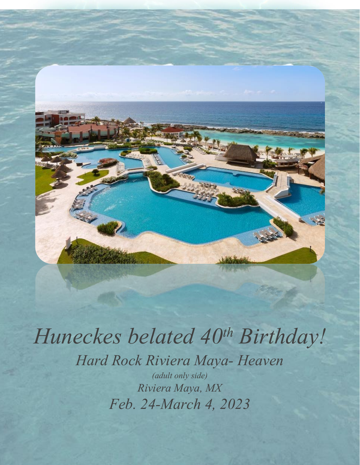

## *Huneckes belated 40th Birthday! Hard Rock Riviera Maya- Heaven (adult only side)*

*Riviera Maya, MX Feb. 24-March 4, 2023*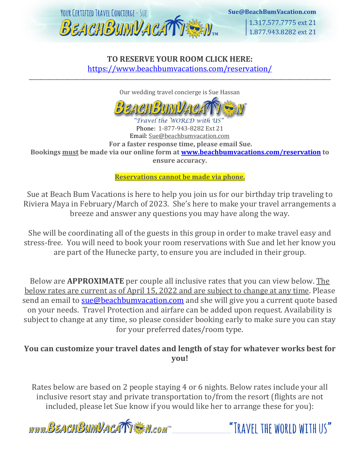

#### **TO RESERVE YOUR ROOM CLICK HERE:** <https://www.beachbumvacations.com/reservation/>

Our wedding travel concierge is Sue Hassan

\_\_\_\_\_\_\_\_\_\_\_\_\_\_\_\_\_\_\_\_\_\_\_\_\_\_\_\_\_\_\_\_\_\_\_\_\_\_\_\_\_\_\_\_\_\_\_\_\_\_\_\_\_\_\_\_\_\_\_\_\_\_\_\_\_\_\_\_\_\_\_\_\_\_\_\_\_\_\_\_\_\_\_\_\_\_\_\_\_\_\_\_\_\_\_\_\_\_\_\_\_\_\_\_\_\_\_\_\_\_\_\_\_\_\_\_\_\_\_\_\_\_\_\_\_\_

Travel the WORLD with US' Phone: 1-877-943-8282 Ext 21 Email: Sue@beachbumvacation.com **For a faster response time, please email Sue. Bookings must be made via our online form at [www.beachbumvacations.com/reservation](http://www.beachbumvacations.com/reservation) to ensure accuracy.** 

**Reservations cannot be made via phone.**

Sue at Beach Bum Vacations is here to help you join us for our birthday trip traveling to Riviera Maya in February/March of 2023. She's here to make your travel arrangements a breeze and answer any questions you may have along the way.

She will be coordinating all of the guests in this group in order to make travel easy and stress-free. You will need to book your room reservations with Sue and let her know you are part of the Hunecke party, to ensure you are included in their group.

Below are **APPROXIMATE** per couple all inclusive rates that you can view below. The below rates are current as of April 15, 2022 and are subject to change at any time. Please send an email to [sue@beachbumvacation.com](mailto:sue@beachbumvacation.com) and she will give you a current quote based on your needs. Travel Protection and airfare can be added upon request. Availability is subject to change at any time, so please consider booking early to make sure you can stay for your preferred dates/room type.

#### **You can customize your travel dates and length of stay for whatever works best for you!**

Rates below are based on 2 people staying 4 or 6 nights. Below rates include your all inclusive resort stay and private transportation to/from the resort (flights are not included, please let Sue know if you would like her to arrange these for you):

www.BEACHBUMVACATTEN.com

"TRAVFI THE WORLD WITH US"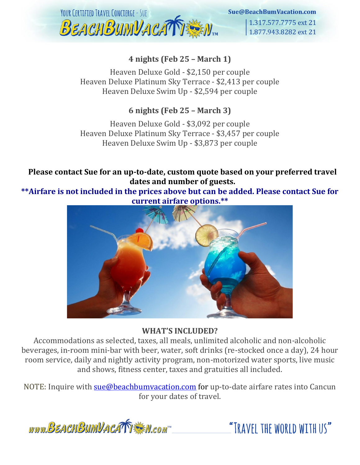

### **4 nights (Feb 25 – March 1)**

Heaven Deluxe Gold - \$2,150 per couple Heaven Deluxe Platinum Sky Terrace - \$2,413 per couple Heaven Deluxe Swim Up - \$2,594 per couple

## **6 nights (Feb 25 – March 3)**

Heaven Deluxe Gold - \$3,092 per couple Heaven Deluxe Platinum Sky Terrace - \$3,457 per couple Heaven Deluxe Swim Up - \$3,873 per couple

**Please contact Sue for an up-to-date, custom quote based on your preferred travel dates and number of guests.** 

**\*\*Airfare is not included in the prices above but can be added. Please contact Sue for current airfare options.\*\*** 



#### **WHAT'S INCLUDED?**

Accommodations as selected, taxes, all meals, unlimited alcoholic and non-alcoholic beverages, in-room mini-bar with beer, water, soft drinks (re-stocked once a day), 24 hour room service, daily and nightly activity program, non-motorized water sports, live music and shows, fitness center, taxes and gratuities all included.

NOTE: Inquire with **[sue@beachbumvacation.com](mailto:sue@beachbumvacation.com)** for up-to-date airfare rates into Cancun for your dates of travel.

www.BEACHBUMVACATTEM.com

"TRAVEL THE WORLD WITH US"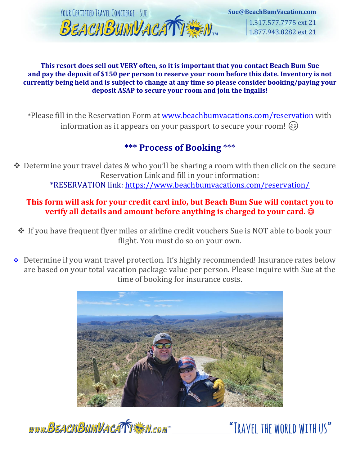

1.877.943.8282 ext 21

#### **This resort does sell out VERY often, so it is important that you contact Beach Bum Sue and pay the deposit of \$150 per person to reserve your room before this date. Inventory is not currently being held and is subject to change at any time so please consider booking/paying your deposit ASAP to secure your room and join the Ingalls!**

\*Please fill in the Reservation Form at www.beachbumyacations.com/reservation with information as it appears on your passport to secure your room!  $\odot$ 

## **\*\*\* Process of Booking** \*\*\*

❖ Determine your travel dates & who you'll be sharing a room with then click on the secure Reservation Link and fill in your information: \*RESERVATION link:<https://www.beachbumvacations.com/reservation/>

#### **This form will ask for your credit card info, but Beach Bum Sue will contact you to verify all details and amount before anything is charged to your card. ©**

- ❖ If you have frequent flyer miles or airline credit vouchers Sue is NOT able to book your flight. You must do so on your own.
- ❖ Determine if you want travel protection. It's highly recommended! Insurance rates below are based on your total vacation package value per person. Please inquire with Sue at the time of booking for insurance costs.





"TRAVFI THE WORLD WITH US"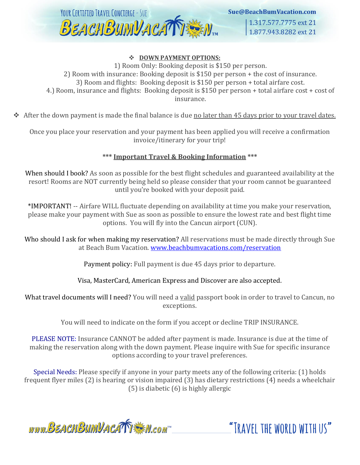

#### ❖ **DOWN PAYMENT OPTIONS:**

1) Room Only: Booking deposit is \$150 per person. 2) Room with insurance: Booking deposit is \$150 per person + the cost of insurance. 3) Room and flights: Booking deposit is \$150 per person + total airfare cost. 4.) Room, insurance and flights: Booking deposit is \$150 per person + total airfare cost + cost of insurance.

❖ After the down payment is made the final balance is due no later than 45 days prior to your travel dates.

Once you place your reservation and your payment has been applied you will receive a confirmation invoice/itinerary for your trip!

#### **\*\*\* Important Travel & Booking Information \*\*\***

When should I book? As soon as possible for the best flight schedules and guaranteed availability at the resort! Rooms are NOT currently being held so please consider that your room cannot be guaranteed until you're booked with your deposit paid.

\*IMPORTANT! -- Airfare WILL fluctuate depending on availability at time you make your reservation, please make your payment with Sue as soon as possible to ensure the lowest rate and best flight time options. You will fly into the Cancun airport (CUN).

Who should I ask for when making my reservation? All reservations must be made directly through Sue at Beach Bum Vacation. [www.beachbumvacations.com/reservation](http://www.beachbumvacations.com/reservation)

Payment policy: Full payment is due 45 days prior to departure.

Visa, MasterCard, American Express and Discover are also accepted.

What travel documents will I need? You will need a valid passport book in order to travel to Cancun, no exceptions.

You will need to indicate on the form if you accept or decline TRIP INSURANCE.

PLEASE NOTE: Insurance CANNOT be added after payment is made. Insurance is due at the time of making the reservation along with the down payment. Please inquire with Sue for specific insurance options according to your travel preferences.

Special Needs: Please specify if anyone in your party meets any of the following criteria: (1) holds frequent flyer miles (2) is hearing or vision impaired (3) has dietary restrictions (4) needs a wheelchair (5) is diabetic (6) is highly allergic

www.BEACHBUMVACATTEM.com

"TRAVFI THE WORLD WITH US"